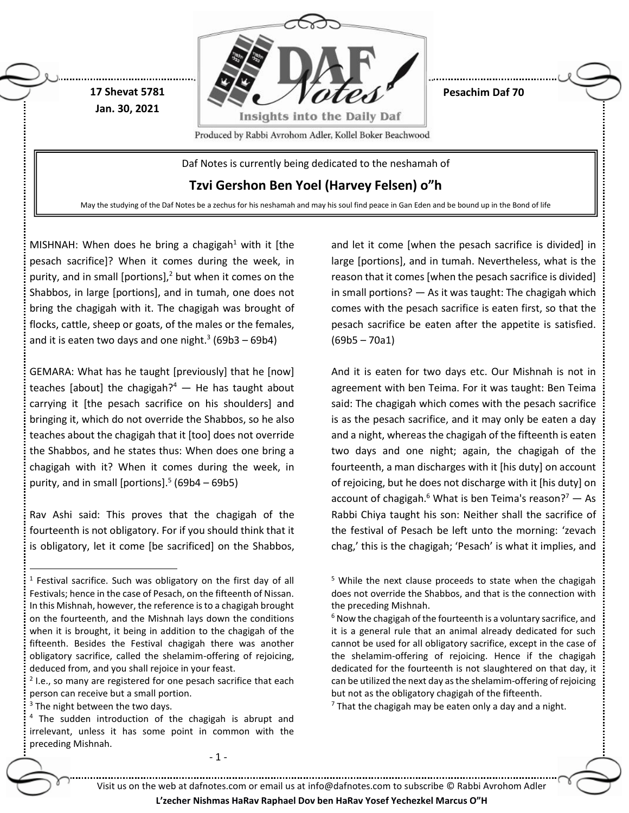

MISHNAH: When does he bring a chagigah<sup>1</sup> with it [the pesach sacrifice]? When it comes during the week, in purity, and in small [portions], <sup>2</sup> but when it comes on the Shabbos, in large [portions], and in tumah, one does not bring the chagigah with it. The chagigah was brought of flocks, cattle, sheep or goats, of the males or the females, and it is eaten two days and one night. $3(69b3 - 69b4)$ 

GEMARA: What has he taught [previously] that he [now] teaches [about] the chagigah? $4 -$  He has taught about carrying it [the pesach sacrifice on his shoulders] and bringing it, which do not override the Shabbos, so he also teaches about the chagigah that it [too] does not override the Shabbos, and he states thus: When does one bring a chagigah with it? When it comes during the week, in purity, and in small [portions]. $5(69b4 - 69b5)$ 

Rav Ashi said: This proves that the chagigah of the fourteenth is not obligatory. For if you should think that it is obligatory, let it come [be sacrificed] on the Shabbos,

<sup>2</sup> I.e., so many are registered for one pesach sacrifice that each person can receive but a small portion.

 $\overline{a}$ 

- 1 -

and let it come [when the pesach sacrifice is divided] in large [portions], and in tumah. Nevertheless, what is the reason that it comes [when the pesach sacrifice is divided] in small portions? — As it was taught: The chagigah which comes with the pesach sacrifice is eaten first, so that the pesach sacrifice be eaten after the appetite is satisfied. (69b5 – 70a1)

And it is eaten for two days etc. Our Mishnah is not in agreement with ben Teima. For it was taught: Ben Teima said: The chagigah which comes with the pesach sacrifice is as the pesach sacrifice, and it may only be eaten a day and a night, whereas the chagigah of the fifteenth is eaten two days and one night; again, the chagigah of the fourteenth, a man discharges with it [his duty] on account of rejoicing, but he does not discharge with it [his duty] on account of chagigah.<sup>6</sup> What is ben Teima's reason?<sup>7</sup> — As Rabbi Chiya taught his son: Neither shall the sacrifice of the festival of Pesach be left unto the morning: 'zevach chag,' this is the chagigah; 'Pesach' is what it implies, and

 $7$  That the chagigah may be eaten only a day and a night.

Visit us on the web at dafnotes.com or email us at [info@dafnotes.com](mailto:info@dafnotes.com) to subscribe © Rabbi Avrohom Adler

<sup>&</sup>lt;sup>1</sup> Festival sacrifice. Such was obligatory on the first day of all Festivals; hence in the case of Pesach, on the fifteenth of Nissan. In this Mishnah, however, the reference is to a chagigah brought on the fourteenth, and the Mishnah lays down the conditions when it is brought, it being in addition to the chagigah of the fifteenth. Besides the Festival chagigah there was another obligatory sacrifice, called the shelamim-offering of rejoicing, deduced from, and you shall rejoice in your feast.

<sup>&</sup>lt;sup>3</sup> The night between the two days.

 $4$  The sudden introduction of the chagigah is abrupt and irrelevant, unless it has some point in common with the preceding Mishnah.

<sup>&</sup>lt;sup>5</sup> While the next clause proceeds to state when the chagigah does not override the Shabbos, and that is the connection with the preceding Mishnah.

 $6$  Now the chagigah of the fourteenth is a voluntary sacrifice, and it is a general rule that an animal already dedicated for such cannot be used for all obligatory sacrifice, except in the case of the shelamim-offering of rejoicing. Hence if the chagigah dedicated for the fourteenth is not slaughtered on that day, it can be utilized the next day as the shelamim-offering of rejoicing but not as the obligatory chagigah of the fifteenth.

**L'zecher Nishmas HaRav Raphael Dov ben HaRav Yosef Yechezkel Marcus O"H**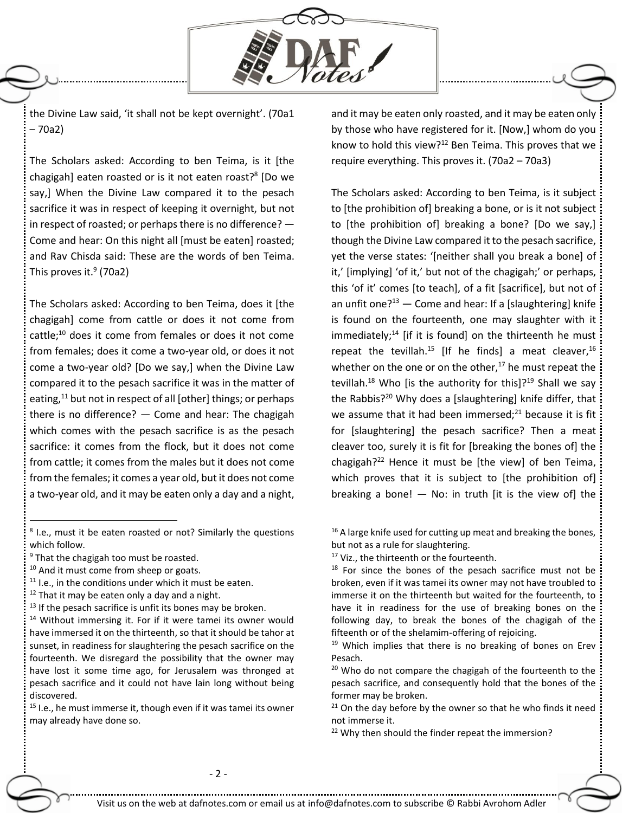

the Divine Law said, 'it shall not be kept overnight'. (70a1 – 70a2)

The Scholars asked: According to ben Teima, is it [the chagigah] eaten roasted or is it not eaten roast?<sup>8</sup> [Do we say,] When the Divine Law compared it to the pesach sacrifice it was in respect of keeping it overnight, but not in respect of roasted; or perhaps there is no difference? — Come and hear: On this night all [must be eaten] roasted; and Rav Chisda said: These are the words of ben Teima. This proves it.<sup>9</sup> (70a2)

The Scholars asked: According to ben Teima, does it [the chagigah] come from cattle or does it not come from cattle; <sup>10</sup> does it come from females or does it not come from females; does it come a two-year old, or does it not come a two-year old? [Do we say,] when the Divine Law compared it to the pesach sacrifice it was in the matter of eating,<sup>11</sup> but not in respect of all [other] things; or perhaps there is no difference?  $-$  Come and hear: The chagigah which comes with the pesach sacrifice is as the pesach sacrifice: it comes from the flock, but it does not come from cattle; it comes from the males but it does not come from the females; it comes a year old, but it does not come a two-year old, and it may be eaten only a day and a night,

 $\overline{a}$ 

- $11$  I.e., in the conditions under which it must be eaten.
- $12$  That it may be eaten only a day and a night.

and it may be eaten only roasted, and it may be eaten only by those who have registered for it. [Now,] whom do you know to hold this view? $12$  Ben Teima. This proves that we require everything. This proves it. (70a2 – 70a3)

The Scholars asked: According to ben Teima, is it subject to [the prohibition of] breaking a bone, or is it not subject to [the prohibition of] breaking a bone? [Do we say,] though the Divine Law compared it to the pesach sacrifice, yet the verse states: '[neither shall you break a bone] of it,' [implying] 'of it,' but not of the chagigah;' or perhaps, this 'of it' comes [to teach], of a fit [sacrifice], but not of an unfit one? $13$  – Come and hear: If a [slaughtering] knife is found on the fourteenth, one may slaughter with it immediately; $14$  [if it is found] on the thirteenth he must repeat the tevillah.<sup>15</sup> [If he finds] a meat cleaver,<sup>16</sup> whether on the one or on the other, $17$  he must repeat the tevillah.<sup>18</sup> Who [is the authority for this]?<sup>19</sup> Shall we say the Rabbis?<sup>20</sup> Why does a [slaughtering] knife differ, that we assume that it had been immersed; $^{21}$  because it is fit for [slaughtering] the pesach sacrifice? Then a meat cleaver too, surely it is fit for [breaking the bones of] the chagigah? <sup>22</sup> Hence it must be [the view] of ben Teima, which proves that it is subject to [the prohibition of] breaking a bone!  $-$  No: in truth [it is the view of] the

<sup>&</sup>lt;sup>8</sup> I.e., must it be eaten roasted or not? Similarly the questions which follow.

<sup>&</sup>lt;sup>9</sup> That the chagigah too must be roasted.

<sup>&</sup>lt;sup>10</sup> And it must come from sheep or goats.

 $13$  If the pesach sacrifice is unfit its bones may be broken.

<sup>&</sup>lt;sup>14</sup> Without immersing it. For if it were tamei its owner would have immersed it on the thirteenth, so that it should be tahor at sunset, in readiness for slaughtering the pesach sacrifice on the fourteenth. We disregard the possibility that the owner may have lost it some time ago, for Jerusalem was thronged at pesach sacrifice and it could not have lain long without being discovered.

 $15$  I.e., he must immerse it, though even if it was tamei its owner may already have done so.

 $16$  A large knife used for cutting up meat and breaking the bones, but not as a rule for slaughtering.

<sup>&</sup>lt;sup>17</sup> Viz., the thirteenth or the fourteenth.

 $18$  For since the bones of the pesach sacrifice must not be broken, even if it was tamei its owner may not have troubled to immerse it on the thirteenth but waited for the fourteenth, to have it in readiness for the use of breaking bones on the following day, to break the bones of the chagigah of the fifteenth or of the shelamim-offering of rejoicing.

<sup>&</sup>lt;sup>19</sup> Which implies that there is no breaking of bones on Erev Pesach.

<sup>&</sup>lt;sup>20</sup> Who do not compare the chagigah of the fourteenth to the pesach sacrifice, and consequently hold that the bones of the former may be broken.

 $21$  On the day before by the owner so that he who finds it need not immerse it.

<sup>&</sup>lt;sup>22</sup> Why then should the finder repeat the immersion?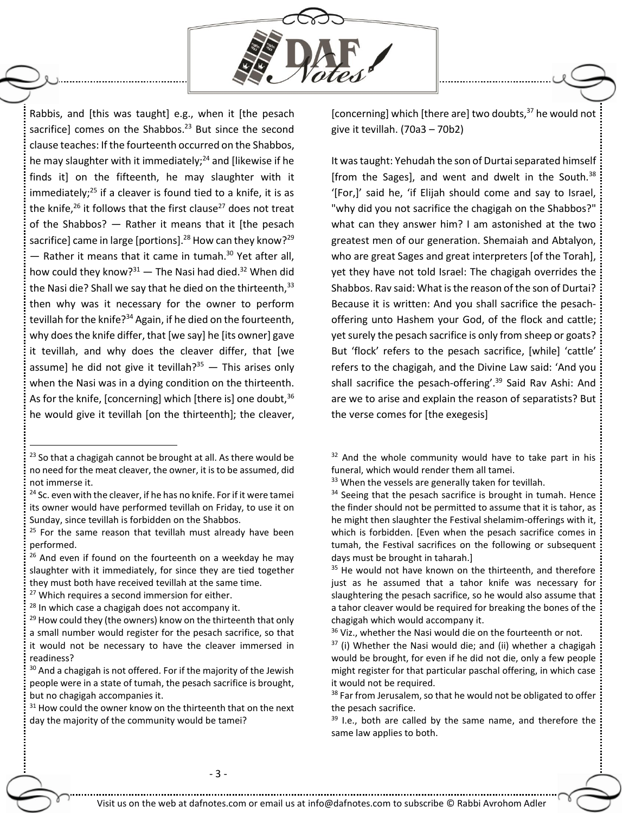

Rabbis, and [this was taught] e.g., when it [the pesach sacrifice] comes on the Shabbos.<sup>23</sup> But since the second clause teaches: If the fourteenth occurred on the Shabbos, he may slaughter with it immediately;<sup>24</sup> and [likewise if he finds it] on the fifteenth, he may slaughter with it immediately; $^{25}$  if a cleaver is found tied to a knife, it is as the knife,<sup>26</sup> it follows that the first clause<sup>27</sup> does not treat of the Shabbos? — Rather it means that it [the pesach sacrifice] came in large [portions].<sup>28</sup> How can they know?<sup>29</sup> — Rather it means that it came in tumah. <sup>30</sup> Yet after all, how could they know? $31 -$  The Nasi had died. $32$  When did the Nasi die? Shall we say that he died on the thirteenth,  $33$ then why was it necessary for the owner to perform tevillah for the knife?<sup>34</sup> Again, if he died on the fourteenth, why does the knife differ, that [we say] he [its owner] gave it tevillah, and why does the cleaver differ, that [we assume] he did not give it tevillah? $35 -$  This arises only when the Nasi was in a dying condition on the thirteenth. As for the knife, [concerning] which [there is] one doubt,  $36$ he would give it tevillah [on the thirteenth]; the cleaver,

 $\overline{a}$ 

[concerning] which [there are] two doubts,<sup>37</sup> he would not give it tevillah. (70a3 – 70b2)

It was taught: Yehudah the son of Durtai separated himself [from the Sages], and went and dwelt in the South. $38$ '[For,]' said he, 'if Elijah should come and say to Israel, "why did you not sacrifice the chagigah on the Shabbos?" what can they answer him? I am astonished at the two greatest men of our generation. Shemaiah and Abtalyon, who are great Sages and great interpreters [of the Torah], yet they have not told Israel: The chagigah overrides the Shabbos. Rav said: What is the reason of the son of Durtai? Because it is written: And you shall sacrifice the pesachoffering unto Hashem your God, of the flock and cattle; yet surely the pesach sacrifice is only from sheep or goats? But 'flock' refers to the pesach sacrifice, [while] 'cattle' refers to the chagigah, and the Divine Law said: 'And you shall sacrifice the pesach-offering'.<sup>39</sup> Said Rav Ashi: And are we to arise and explain the reason of separatists? But the verse comes for [the exegesis]

 $32$  And the whole community would have to take part in his funeral, which would render them all tamei.

<sup>33</sup> When the vessels are generally taken for tevillah.

<sup>36</sup> Viz., whether the Nasi would die on the fourteenth or not.

 $23$  So that a chagigah cannot be brought at all. As there would be no need for the meat cleaver, the owner, it is to be assumed, did not immerse it.

 $24$  Sc. even with the cleaver, if he has no knife. For if it were tamei its owner would have performed tevillah on Friday, to use it on Sunday, since tevillah is forbidden on the Shabbos.

 $25$  For the same reason that tevillah must already have been performed.

<sup>&</sup>lt;sup>26</sup> And even if found on the fourteenth on a weekday he may slaughter with it immediately, for since they are tied together they must both have received tevillah at the same time.

<sup>&</sup>lt;sup>27</sup> Which requires a second immersion for either.

 $28$  In which case a chagigah does not accompany it.

<sup>&</sup>lt;sup>29</sup> How could they (the owners) know on the thirteenth that only a small number would register for the pesach sacrifice, so that it would not be necessary to have the cleaver immersed in readiness?

 $30$  And a chagigah is not offered. For if the majority of the Jewish people were in a state of tumah, the pesach sacrifice is brought, but no chagigah accompanies it.

 $31$  How could the owner know on the thirteenth that on the next day the majority of the community would be tamei?

 $34$  Seeing that the pesach sacrifice is brought in tumah. Hence the finder should not be permitted to assume that it is tahor, as he might then slaughter the Festival shelamim-offerings with it, which is forbidden. [Even when the pesach sacrifice comes in tumah, the Festival sacrifices on the following or subsequent days must be brought in taharah.]

<sup>&</sup>lt;sup>35</sup> He would not have known on the thirteenth, and therefore just as he assumed that a tahor knife was necessary for slaughtering the pesach sacrifice, so he would also assume that a tahor cleaver would be required for breaking the bones of the chagigah which would accompany it.

 $37$  (i) Whether the Nasi would die; and (ii) whether a chagigah would be brought, for even if he did not die, only a few people might register for that particular paschal offering, in which case it would not be required.

<sup>&</sup>lt;sup>38</sup> Far from Jerusalem, so that he would not be obligated to offer the pesach sacrifice.

 $39$  I.e., both are called by the same name, and therefore the same law applies to both.